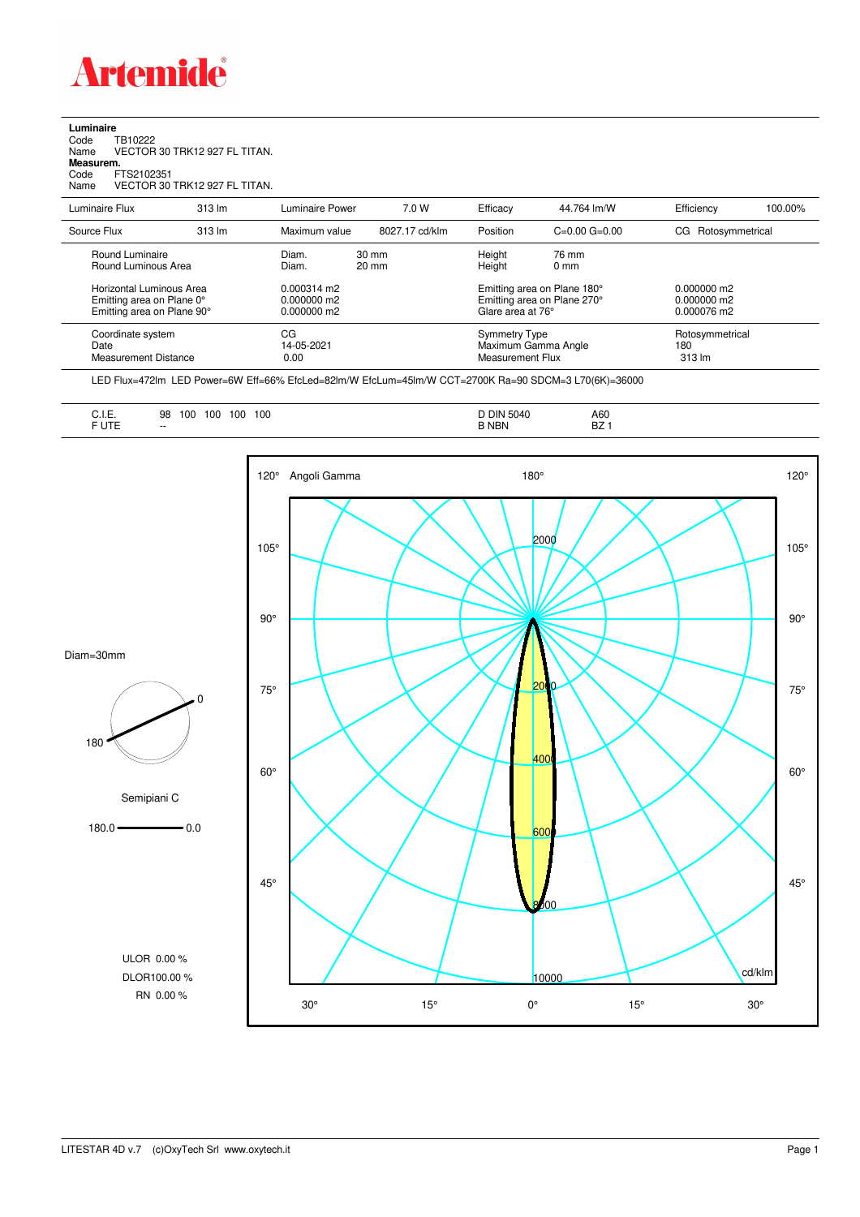

## **Luminaire**<br>Code T<br>Name \ Code TB10222 Name VECTOR 30 TRK12 927 FL TITAN. **Measurem.** Code FTS2102351 Name VECTOR 30 TRK12 927 FL TITAN.

| Name                                                                                | VECTOR 30 TRK12 927 FL TITAN. |                                                      |                                    |                                          |                                                                                 |                                  |         |
|-------------------------------------------------------------------------------------|-------------------------------|------------------------------------------------------|------------------------------------|------------------------------------------|---------------------------------------------------------------------------------|----------------------------------|---------|
| Luminaire Flux                                                                      | 313 lm                        | Luminaire Power                                      | 7.0 W                              | Efficacy                                 | 44.764 lm/W                                                                     | Efficiency                       | 100.00% |
| Source Flux                                                                         | 313 lm                        | Maximum value                                        | 8027.17 cd/klm                     | Position                                 | $C=0.00$ $G=0.00$                                                               | Rotosymmetrical<br>CG            |         |
| Round Luminaire<br>Round Luminous Area                                              |                               | Diam.<br>Diam.                                       | $30 \text{ mm}$<br>$20 \text{ mm}$ | Height<br>Height                         | 76 mm<br>$0 \text{ mm}$                                                         |                                  |         |
| Horizontal Luminous Area<br>Emitting area on Plane 0°<br>Emitting area on Plane 90° |                               | $0.000314 \text{ m}$<br>$0.000000$ m2<br>0.000000 m2 |                                    |                                          | Emitting area on Plane 180°<br>Emitting area on Plane 270°<br>Glare area at 76° |                                  |         |
| Coordinate system<br>Date<br><b>Measurement Distance</b>                            |                               | СG<br>14-05-2021<br>0.00                             |                                    | <b>Symmetry Type</b><br>Measurement Flux | Maximum Gamma Angle                                                             | Rotosymmetrical<br>180<br>313 lm |         |
|                                                                                     |                               |                                                      |                                    |                                          |                                                                                 |                                  |         |

LED Flux=472lm LED Power=6W Eff=66% EfcLed=82lm/W EfcLum=45lm/W CCT=2700K Ra=90 SDCM=3 L70(6K)=36000